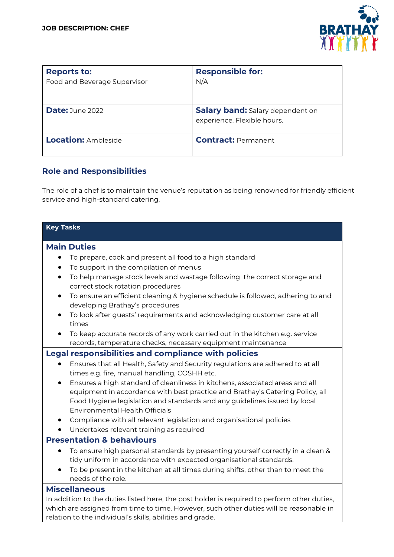

| <b>Reports to:</b><br>Food and Beverage Supervisor | <b>Responsible for:</b><br>N/A                                         |
|----------------------------------------------------|------------------------------------------------------------------------|
| <b>Date: June 2022</b>                             | <b>Salary band:</b> Salary dependent on<br>experience. Flexible hours. |
| <b>Location: Ambleside</b>                         | <b>Contract: Permanent</b>                                             |

## **Role and Responsibilities**

The role of a chef is to maintain the venue's reputation as being renowned for friendly efficient service and high-standard catering.

| <b>Key Tasks</b>                                                                                                                                      |  |
|-------------------------------------------------------------------------------------------------------------------------------------------------------|--|
| <b>Main Duties</b>                                                                                                                                    |  |
| To prepare, cook and present all food to a high standard                                                                                              |  |
| To support in the compilation of menus                                                                                                                |  |
| To help manage stock levels and wastage following the correct storage and<br>$\bullet$<br>correct stock rotation procedures                           |  |
| To ensure an efficient cleaning & hygiene schedule is followed, adhering to and<br>$\bullet$<br>developing Brathay's procedures                       |  |
| To look after guests' requirements and acknowledging customer care at all<br>times                                                                    |  |
| To keep accurate records of any work carried out in the kitchen e.g. service                                                                          |  |
| records, temperature checks, necessary equipment maintenance                                                                                          |  |
| <b>Legal responsibilities and compliance with policies</b>                                                                                            |  |
| Ensures that all Health, Safety and Security regulations are adhered to at all<br>times e.g. fire, manual handling, COSHH etc.                        |  |
| Ensures a high standard of cleanliness in kitchens, associated areas and all<br>$\bullet$                                                             |  |
| equipment in accordance with best practice and Brathay's Catering Policy, all                                                                         |  |
| Food Hygiene legislation and standards and any guidelines issued by local<br><b>Environmental Health Officials</b>                                    |  |
| Compliance with all relevant legislation and organisational policies                                                                                  |  |
| Undertakes relevant training as required                                                                                                              |  |
| <b>Presentation &amp; behaviours</b>                                                                                                                  |  |
| To ensure high personal standards by presenting yourself correctly in a clean &<br>tidy uniform in accordance with expected organisational standards. |  |
| To be present in the kitchen at all times during shifts, other than to meet the<br>needs of the role.                                                 |  |
| <b>Miscellaneous</b>                                                                                                                                  |  |
| In addition to the duties listed here, the post holder is required to perform other duties,                                                           |  |
| which are assigned from time to time. However, such other duties will be reasonable in<br>relation to the individual's skills, abilities and grade.   |  |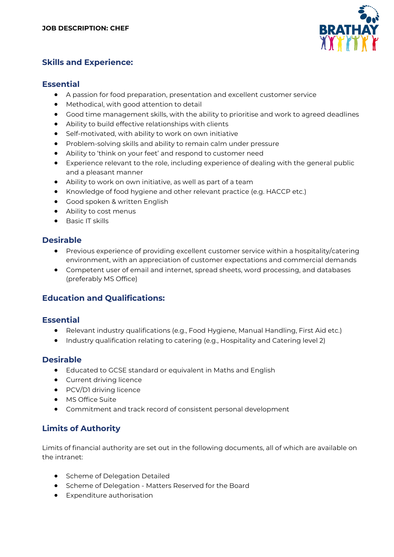

## **Skills and Experience:**

#### **Essential**

- A passion for food preparation, presentation and excellent customer service
- Methodical, with good attention to detail
- Good time management skills, with the ability to prioritise and work to agreed deadlines
- Ability to build effective relationships with clients
- Self-motivated, with ability to work on own initiative
- Problem-solving skills and ability to remain calm under pressure
- Ability to 'think on your feet' and respond to customer need
- Experience relevant to the role, including experience of dealing with the general public and a pleasant manner
- Ability to work on own initiative, as well as part of a team
- Knowledge of food hygiene and other relevant practice (e.g. HACCP etc.)
- Good spoken & written English
- Ability to cost menus
- Basic IT skills

### **Desirable**

- Previous experience of providing excellent customer service within a hospitality/catering environment, with an appreciation of customer expectations and commercial demands
- Competent user of email and internet, spread sheets, word processing, and databases (preferably MS Office)

### **Education and Qualifications:**

### **Essential**

- Relevant industry qualifications (e.g., Food Hygiene, Manual Handling, First Aid etc.)
- Industry qualification relating to catering (e.g., Hospitality and Catering level 2)

### **Desirable**

- Educated to GCSE standard or equivalent in Maths and English
- Current driving licence
- PCV/D1 driving licence
- MS Office Suite
- Commitment and track record of consistent personal development

## **Limits of Authority**

Limits of financial authority are set out in the following documents, all of which are available on the intranet:

- Scheme of Delegation Detailed
- Scheme of Delegation Matters Reserved for the Board
- Expenditure authorisation